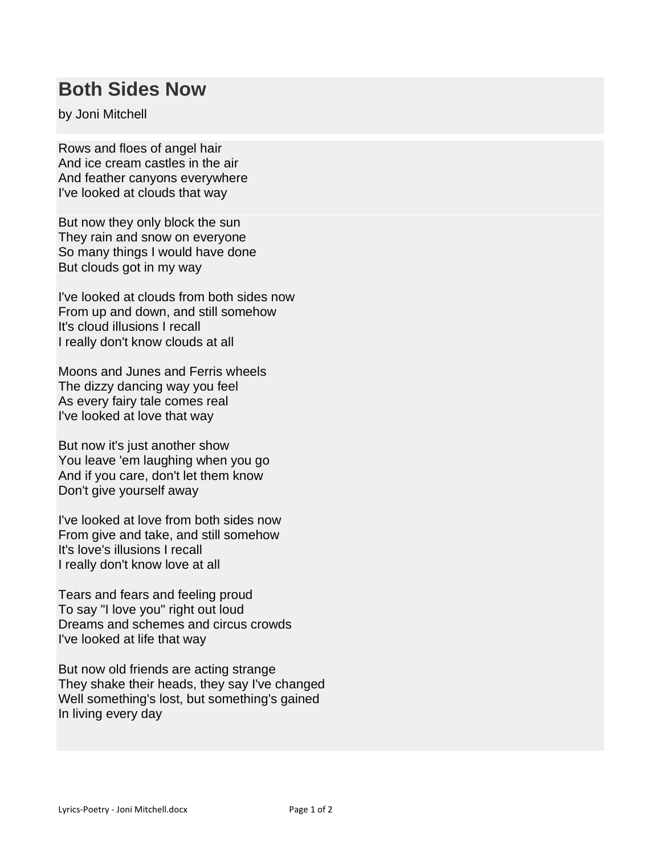## **Both Sides Now**

by Joni Mitchell

Rows and floes of angel hair And ice cream castles in the air And feather canyons everywhere I've looked at clouds that way

But now they only block the sun They rain and snow on everyone So many things I would have done But clouds got in my way

I've looked at clouds from both sides now From up and down, and still somehow It's cloud illusions I recall I really don't know clouds at all

Moons and Junes and Ferris wheels The dizzy dancing way you feel As every fairy tale comes real I've looked at love that way

But now it's just another show You leave 'em laughing when you go And if you care, don't let them know Don't give yourself away

I've looked at love from both sides now From give and take, and still somehow It's love's illusions I recall I really don't know love at all

Tears and fears and feeling proud To say "I love you" right out loud Dreams and schemes and circus crowds I've looked at life that way

But now old friends are acting strange They shake their heads, they say I've changed Well something's lost, but something's gained In living every day